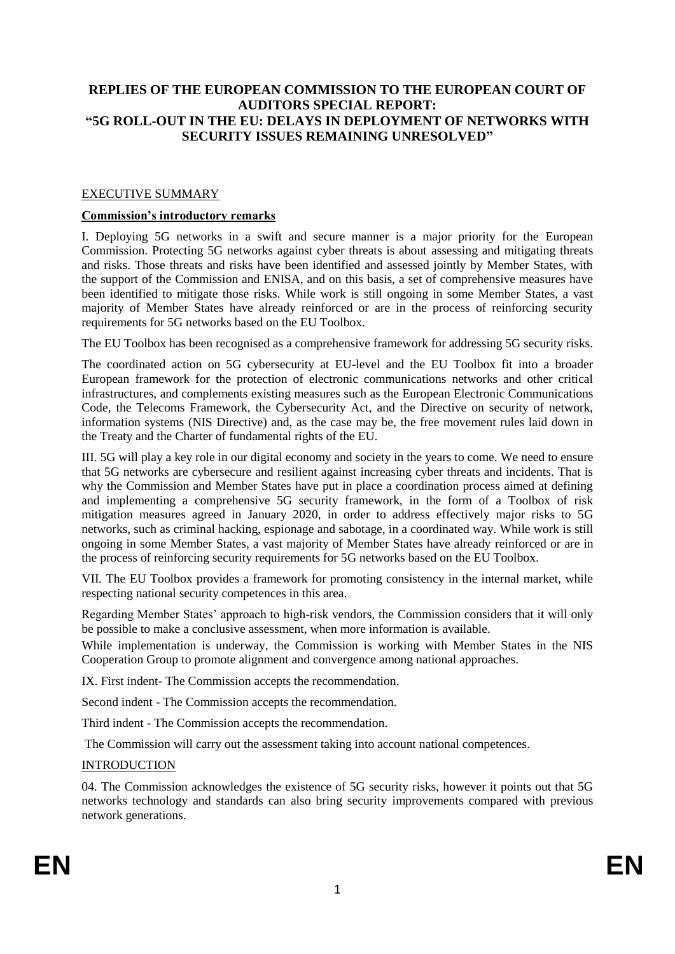# **REPLIES OF THE EUROPEAN COMMISSION TO THE EUROPEAN COURT OF AUDITORS SPECIAL REPORT: "5G ROLL-OUT IN THE EU: DELAYS IN DEPLOYMENT OF NETWORKS WITH SECURITY ISSUES REMAINING UNRESOLVED"**

## EXECUTIVE SUMMARY

#### **Commission's introductory remarks**

I. Deploying 5G networks in a swift and secure manner is a major priority for the European Commission. Protecting 5G networks against cyber threats is about assessing and mitigating threats and risks. Those threats and risks have been identified and assessed jointly by Member States, with the support of the Commission and ENISA, and on this basis, a set of comprehensive measures have been identified to mitigate those risks. While work is still ongoing in some Member States, a vast majority of Member States have already reinforced or are in the process of reinforcing security requirements for 5G networks based on the EU Toolbox.

The EU Toolbox has been recognised as a comprehensive framework for addressing 5G security risks.

The coordinated action on 5G cybersecurity at EU-level and the EU Toolbox fit into a broader European framework for the protection of electronic communications networks and other critical infrastructures, and complements existing measures such as the European Electronic Communications Code, the Telecoms Framework, the Cybersecurity Act, and the Directive on security of network, information systems (NIS Directive) and, as the case may be, the free movement rules laid down in the Treaty and the Charter of fundamental rights of the EU.

III. 5G will play a key role in our digital economy and society in the years to come. We need to ensure that 5G networks are cybersecure and resilient against increasing cyber threats and incidents. That is why the Commission and Member States have put in place a coordination process aimed at defining and implementing a comprehensive 5G security framework, in the form of a Toolbox of risk mitigation measures agreed in January 2020, in order to address effectively major risks to 5G networks, such as criminal hacking, espionage and sabotage, in a coordinated way. While work is still ongoing in some Member States, a vast majority of Member States have already reinforced or are in the process of reinforcing security requirements for 5G networks based on the EU Toolbox.

VII. The EU Toolbox provides a framework for promoting consistency in the internal market, while respecting national security competences in this area.

Regarding Member States' approach to high-risk vendors, the Commission considers that it will only be possible to make a conclusive assessment, when more information is available.

While implementation is underway, the Commission is working with Member States in the NIS Cooperation Group to promote alignment and convergence among national approaches.

IX. First indent- The Commission accepts the recommendation.

Second indent - The Commission accepts the recommendation.

Third indent - The Commission accepts the recommendation.

The Commission will carry out the assessment taking into account national competences.

#### **INTRODUCTION**

04. The Commission acknowledges the existence of 5G security risks, however it points out that 5G networks technology and standards can also bring security improvements compared with previous network generations.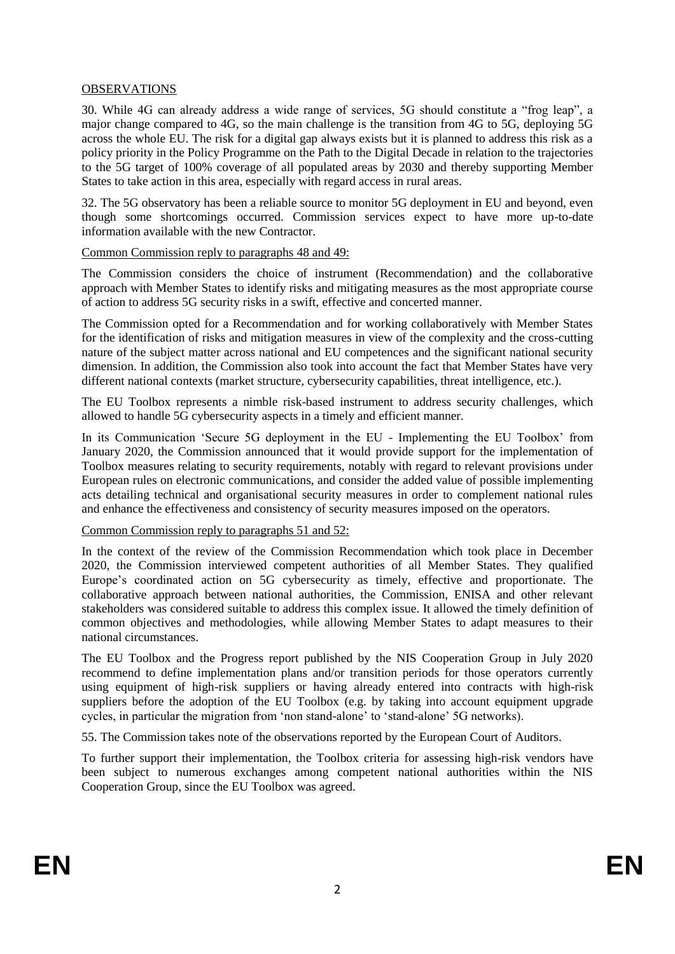## OBSERVATIONS

30. While 4G can already address a wide range of services, 5G should constitute a "frog leap", a major change compared to 4G, so the main challenge is the transition from 4G to 5G, deploying 5G across the whole EU. The risk for a digital gap always exists but it is planned to address this risk as a policy priority in the Policy Programme on the Path to the Digital Decade in relation to the trajectories to the 5G target of 100% coverage of all populated areas by 2030 and thereby supporting Member States to take action in this area, especially with regard access in rural areas.

32. The 5G observatory has been a reliable source to monitor 5G deployment in EU and beyond, even though some shortcomings occurred. Commission services expect to have more up-to-date information available with the new Contractor.

## Common Commission reply to paragraphs 48 and 49:

The Commission considers the choice of instrument (Recommendation) and the collaborative approach with Member States to identify risks and mitigating measures as the most appropriate course of action to address 5G security risks in a swift, effective and concerted manner.

The Commission opted for a Recommendation and for working collaboratively with Member States for the identification of risks and mitigation measures in view of the complexity and the cross-cutting nature of the subject matter across national and EU competences and the significant national security dimension. In addition, the Commission also took into account the fact that Member States have very different national contexts (market structure, cybersecurity capabilities, threat intelligence, etc.).

The EU Toolbox represents a nimble risk-based instrument to address security challenges, which allowed to handle 5G cybersecurity aspects in a timely and efficient manner.

In its Communication 'Secure 5G deployment in the EU - Implementing the EU Toolbox' from January 2020, the Commission announced that it would provide support for the implementation of Toolbox measures relating to security requirements, notably with regard to relevant provisions under European rules on electronic communications, and consider the added value of possible implementing acts detailing technical and organisational security measures in order to complement national rules and enhance the effectiveness and consistency of security measures imposed on the operators.

#### Common Commission reply to paragraphs 51 and 52:

In the context of the review of the Commission Recommendation which took place in December 2020, the Commission interviewed competent authorities of all Member States. They qualified Europe's coordinated action on 5G cybersecurity as timely, effective and proportionate. The collaborative approach between national authorities, the Commission, ENISA and other relevant stakeholders was considered suitable to address this complex issue. It allowed the timely definition of common objectives and methodologies, while allowing Member States to adapt measures to their national circumstances.

The EU Toolbox and the Progress report published by the NIS Cooperation Group in July 2020 recommend to define implementation plans and/or transition periods for those operators currently using equipment of high-risk suppliers or having already entered into contracts with high-risk suppliers before the adoption of the EU Toolbox (e.g. by taking into account equipment upgrade cycles, in particular the migration from 'non stand-alone' to 'stand-alone' 5G networks).

55. The Commission takes note of the observations reported by the European Court of Auditors.

To further support their implementation, the Toolbox criteria for assessing high-risk vendors have been subject to numerous exchanges among competent national authorities within the NIS Cooperation Group, since the EU Toolbox was agreed.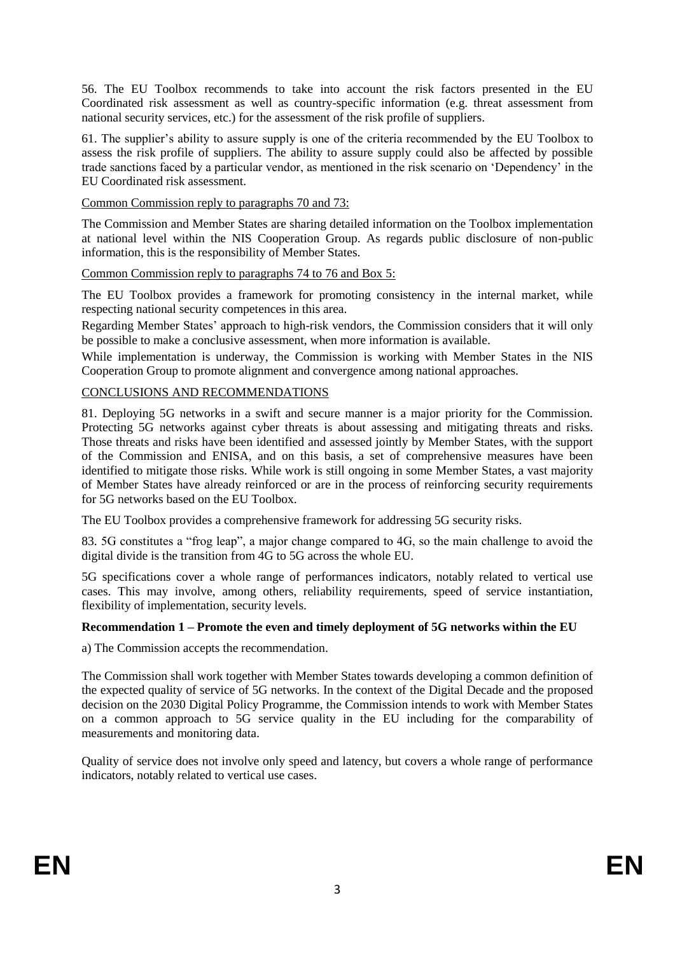56. The EU Toolbox recommends to take into account the risk factors presented in the EU Coordinated risk assessment as well as country-specific information (e.g. threat assessment from national security services, etc.) for the assessment of the risk profile of suppliers.

61. The supplier's ability to assure supply is one of the criteria recommended by the EU Toolbox to assess the risk profile of suppliers. The ability to assure supply could also be affected by possible trade sanctions faced by a particular vendor, as mentioned in the risk scenario on 'Dependency' in the EU Coordinated risk assessment.

Common Commission reply to paragraphs 70 and 73:

The Commission and Member States are sharing detailed information on the Toolbox implementation at national level within the NIS Cooperation Group. As regards public disclosure of non-public information, this is the responsibility of Member States.

Common Commission reply to paragraphs 74 to 76 and Box 5:

The EU Toolbox provides a framework for promoting consistency in the internal market, while respecting national security competences in this area.

Regarding Member States' approach to high-risk vendors, the Commission considers that it will only be possible to make a conclusive assessment, when more information is available.

While implementation is underway, the Commission is working with Member States in the NIS Cooperation Group to promote alignment and convergence among national approaches.

## CONCLUSIONS AND RECOMMENDATIONS

81. Deploying 5G networks in a swift and secure manner is a major priority for the Commission. Protecting 5G networks against cyber threats is about assessing and mitigating threats and risks. Those threats and risks have been identified and assessed jointly by Member States, with the support of the Commission and ENISA, and on this basis, a set of comprehensive measures have been identified to mitigate those risks. While work is still ongoing in some Member States, a vast majority of Member States have already reinforced or are in the process of reinforcing security requirements for 5G networks based on the EU Toolbox.

The EU Toolbox provides a comprehensive framework for addressing 5G security risks.

83. 5G constitutes a "frog leap", a major change compared to 4G, so the main challenge to avoid the digital divide is the transition from 4G to 5G across the whole EU.

5G specifications cover a whole range of performances indicators, notably related to vertical use cases. This may involve, among others, reliability requirements, speed of service instantiation, flexibility of implementation, security levels.

## **Recommendation 1 – Promote the even and timely deployment of 5G networks within the EU**

a) The Commission accepts the recommendation.

The Commission shall work together with Member States towards developing a common definition of the expected quality of service of 5G networks. In the context of the Digital Decade and the proposed decision on the 2030 Digital Policy Programme, the Commission intends to work with Member States on a common approach to 5G service quality in the EU including for the comparability of measurements and monitoring data.

Quality of service does not involve only speed and latency, but covers a whole range of performance indicators, notably related to vertical use cases.